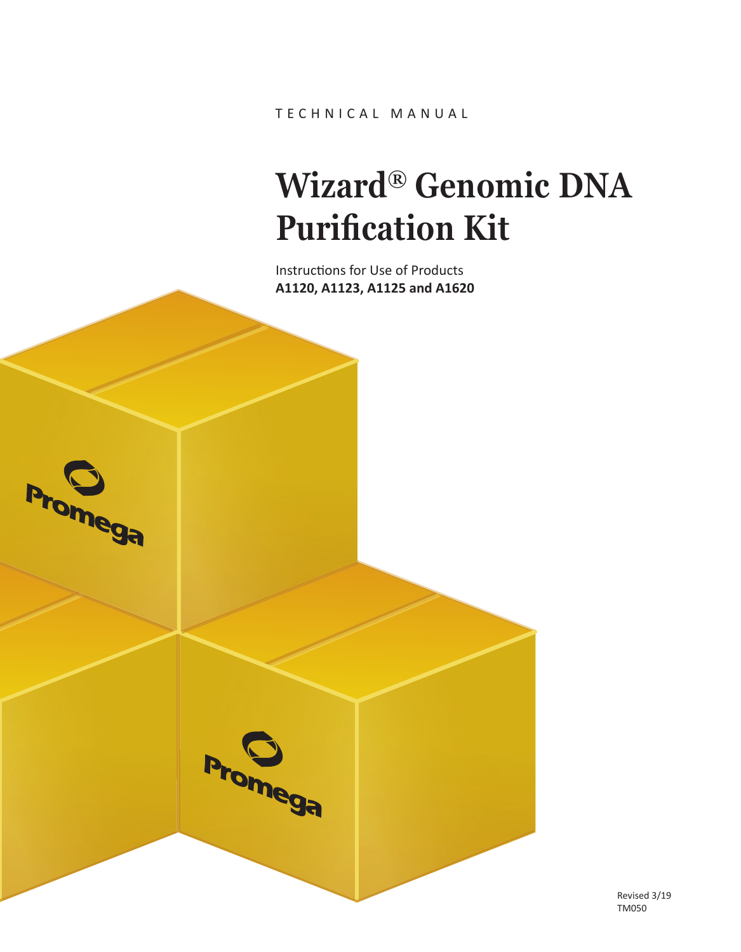TECHNICAL MANUAL

# **Wizard® Genomic DNA Purification Kit**

Instructions for Use of Products **A1120, A1123, A1125 and A1620**

**Promega** 



Revised 3/19 TM050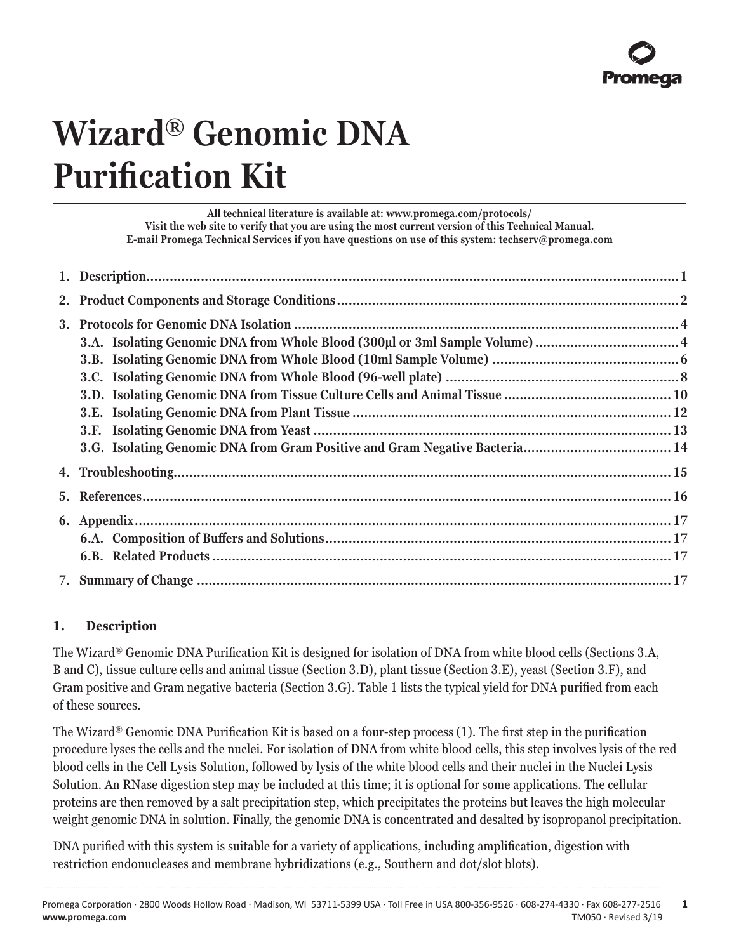# **Wizard® Genomic DNA Purification Kit**

| All technical literature is available at: www.promega.com/protocols/<br>Visit the web site to verify that you are using the most current version of this Technical Manual.<br>E-mail Promega Technical Services if you have questions on use of this system: techserv@promega.com |  |
|-----------------------------------------------------------------------------------------------------------------------------------------------------------------------------------------------------------------------------------------------------------------------------------|--|
|                                                                                                                                                                                                                                                                                   |  |
|                                                                                                                                                                                                                                                                                   |  |
|                                                                                                                                                                                                                                                                                   |  |
|                                                                                                                                                                                                                                                                                   |  |
|                                                                                                                                                                                                                                                                                   |  |
|                                                                                                                                                                                                                                                                                   |  |
|                                                                                                                                                                                                                                                                                   |  |
|                                                                                                                                                                                                                                                                                   |  |
|                                                                                                                                                                                                                                                                                   |  |
| 3.G. Isolating Genomic DNA from Gram Positive and Gram Negative Bacteria 14                                                                                                                                                                                                       |  |
|                                                                                                                                                                                                                                                                                   |  |
|                                                                                                                                                                                                                                                                                   |  |
|                                                                                                                                                                                                                                                                                   |  |
|                                                                                                                                                                                                                                                                                   |  |
|                                                                                                                                                                                                                                                                                   |  |
|                                                                                                                                                                                                                                                                                   |  |

## **1. Description**

The Wizard® Genomic DNA Purification Kit is designed for isolation of DNA from white blood cells (Sections 3.A, B and C), tissue culture cells and animal tissue (Section 3.D), plant tissue (Section 3.E), yeast (Section 3.F), and Gram positive and Gram negative bacteria (Section 3.G). Table 1 lists the typical yield for DNA purified from each of these sources.

The Wizard® Genomic DNA Purification Kit is based on a four-step process (1). The first step in the purification procedure lyses the cells and the nuclei. For isolation of DNA from white blood cells, this step involves lysis of the red blood cells in the Cell Lysis Solution, followed by lysis of the white blood cells and their nuclei in the Nuclei Lysis Solution. An RNase digestion step may be included at this time; it is optional for some applications. The cellular proteins are then removed by a salt precipitation step, which precipitates the proteins but leaves the high molecular weight genomic DNA in solution. Finally, the genomic DNA is concentrated and desalted by isopropanol precipitation.

DNA purified with this system is suitable for a variety of applications, including amplification, digestion with restriction endonucleases and membrane hybridizations (e.g., Southern and dot/slot blots).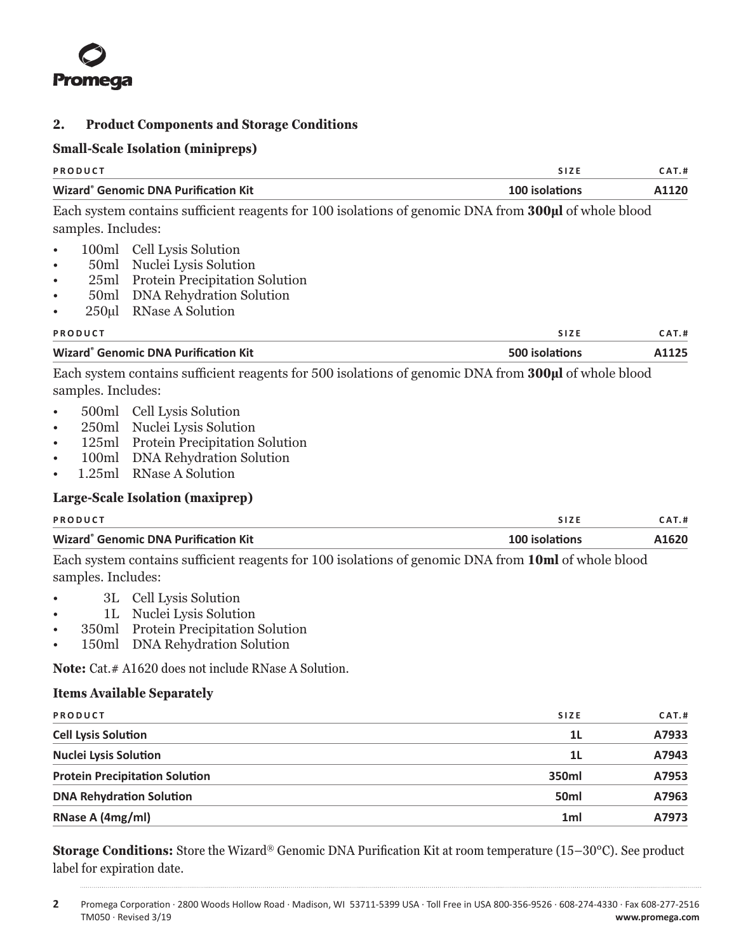<span id="page-2-0"></span>

#### **2. Product Components and Storage Conditions**

#### **Small-Scale Isolation (minipreps)**

|                                                                             | oman ocare nomanon (mmprepo                                                                                                                                                                                                                                           |                |       |
|-----------------------------------------------------------------------------|-----------------------------------------------------------------------------------------------------------------------------------------------------------------------------------------------------------------------------------------------------------------------|----------------|-------|
| <b>PRODUCT</b>                                                              |                                                                                                                                                                                                                                                                       | SIZE           | CAT.H |
|                                                                             | <b>Wizard<sup>®</sup> Genomic DNA Purification Kit</b>                                                                                                                                                                                                                | 100 isolations | A1120 |
| samples. Includes:                                                          | Each system contains sufficient reagents for 100 isolations of genomic DNA from 300µl of whole blood                                                                                                                                                                  |                |       |
| $\bullet$<br>$\bullet$<br>$\bullet$<br>$\bullet$<br>$\bullet$               | 100ml Cell Lysis Solution<br>50ml Nuclei Lysis Solution<br>25ml Protein Precipitation Solution<br>50ml DNA Rehydration Solution<br>250µl RNase A Solution                                                                                                             |                |       |
| PRODUCT                                                                     |                                                                                                                                                                                                                                                                       | SIZE           | CAT.H |
|                                                                             | <b>Wizard<sup>®</sup> Genomic DNA Purification Kit</b>                                                                                                                                                                                                                | 500 isolations | A1125 |
| samples. Includes:<br>$\bullet$<br>$\bullet$<br>$\bullet$<br>$\bullet$<br>٠ | Each system contains sufficient reagents for 500 isolations of genomic DNA from 300µl of whole blood<br>500ml Cell Lysis Solution<br>250ml Nuclei Lysis Solution<br>125ml Protein Precipitation Solution<br>100ml DNA Rehydration Solution<br>1.25ml RNase A Solution |                |       |
|                                                                             | Large-Scale Isolation (maxiprep)                                                                                                                                                                                                                                      |                |       |
| PRODUCT                                                                     |                                                                                                                                                                                                                                                                       | SIZE           | CAT.H |
|                                                                             | <b>Wizard<sup>®</sup> Genomic DNA Purification Kit</b>                                                                                                                                                                                                                | 100 isolations | A1620 |
| samples. Includes:<br>1L<br>٠                                               | Each system contains sufficient reagents for 100 isolations of genomic DNA from 10ml of whole blood<br>3L Cell Lysis Solution<br>Nuclei Lysis Solution                                                                                                                |                |       |
|                                                                             | 350ml Protein Precipitation Solution                                                                                                                                                                                                                                  |                |       |

• 150ml DNA Rehydration Solution

Note: Cat.# A1620 does not include RNase A Solution.

## **Items Available Separately**

| PRODUCT                               | <b>SIZE</b>      | CAT.H |
|---------------------------------------|------------------|-------|
| <b>Cell Lysis Solution</b>            | 1 <sub>L</sub>   | A7933 |
| <b>Nuclei Lysis Solution</b>          | 1L               | A7943 |
| <b>Protein Precipitation Solution</b> | 350ml            | A7953 |
| <b>DNA Rehydration Solution</b>       | 50 <sub>ml</sub> | A7963 |
| RNase A (4mg/ml)                      | 1 <sub>ml</sub>  | A7973 |

**Storage Conditions:** Store the Wizard® Genomic DNA Purification Kit at room temperature (15–30°C). See product label for expiration date.

. . . . . . . .

. . . . . . . . .

**<sup>2</sup>** Promega Corporation · 2800 Woods Hollow Road · Madison, WI 53711-5399 USA · Toll Free in USA 800-356-9526 · 608-274-4330 · Fax 608-277-2516 TM050 · Revised 3/19 **www.promega.com**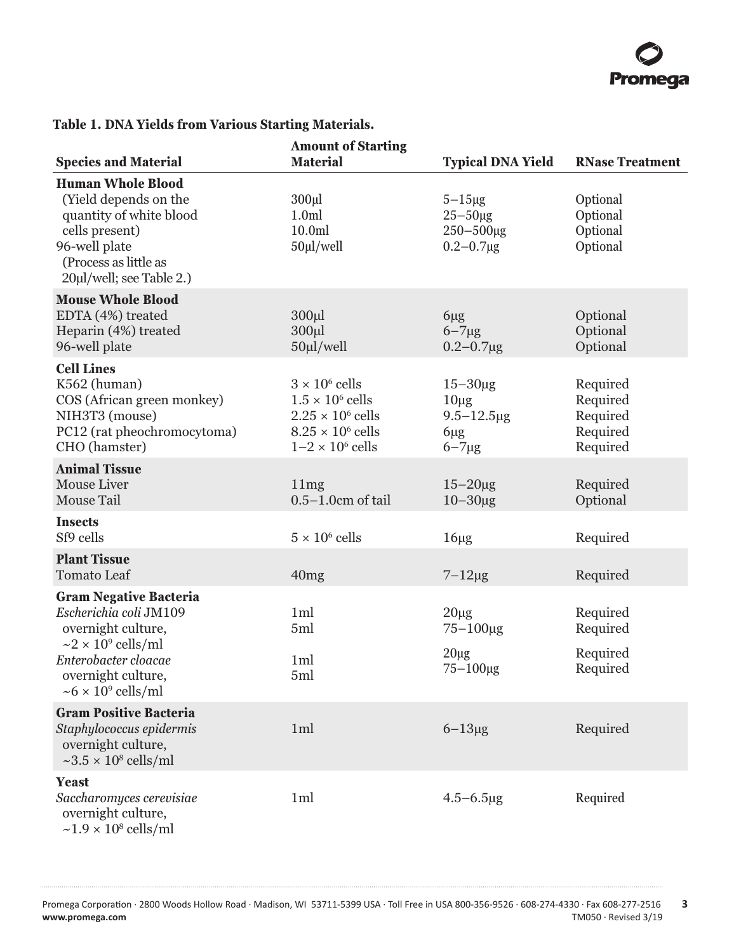

## **Table 1. DNA Yields from Various Starting Materials.**

|                                                                                                                                                                                                     | <b>Amount of Starting</b>                                                                                                           |                                                                           |                                                          |
|-----------------------------------------------------------------------------------------------------------------------------------------------------------------------------------------------------|-------------------------------------------------------------------------------------------------------------------------------------|---------------------------------------------------------------------------|----------------------------------------------------------|
| <b>Species and Material</b>                                                                                                                                                                         | <b>Material</b>                                                                                                                     | <b>Typical DNA Yield</b>                                                  | <b>RNase Treatment</b>                                   |
| <b>Human Whole Blood</b><br>(Yield depends on the<br>quantity of white blood<br>cells present)<br>96-well plate<br>(Process as little as<br>20µl/well; see Table 2.)                                | $300 \mu l$<br>1.0 <sub>m</sub><br>10.0 <sub>m</sub><br>50µl/well                                                                   | $5-15\mu$ g<br>$25 - 50 \mu g$<br>$250 - 500 \mu g$<br>$0.2 - 0.7 \mu g$  | Optional<br>Optional<br>Optional<br>Optional             |
| <b>Mouse Whole Blood</b><br>EDTA (4%) treated<br>Heparin (4%) treated<br>96-well plate                                                                                                              | $300 \mu l$<br>300 <sub>µ</sub><br>$50 \mu$ l/well                                                                                  | $6\mu$ g<br>$6 - 7\mu g$<br>$0.2 - 0.7 \mu g$                             | Optional<br>Optional<br>Optional                         |
| <b>Cell Lines</b><br>K562 (human)<br>COS (African green monkey)<br>NIH3T3 (mouse)<br>PC12 (rat pheochromocytoma)<br>CHO (hamster)                                                                   | $3 \times 10^6$ cells<br>$1.5 \times 10^6$ cells<br>$2.25 \times 10^6$ cells<br>$8.25 \times 10^6$ cells<br>$1-2 \times 10^6$ cells | $15 - 30 \mu g$<br>$10\mu$ g<br>$9.5 - 12.5 \mu g$<br>6µg<br>$6 - 7\mu g$ | Required<br>Required<br>Required<br>Required<br>Required |
| <b>Animal Tissue</b><br>Mouse Liver<br>Mouse Tail                                                                                                                                                   | 11mg<br>$0.5-1.0cm$ of tail                                                                                                         | $15-20\mu$ g<br>$10 - 30 \mu g$                                           | Required<br>Optional                                     |
| <b>Insects</b><br>Sf9 cells                                                                                                                                                                         | $5 \times 10^6$ cells                                                                                                               | $16\mu$ g                                                                 | Required                                                 |
| <b>Plant Tissue</b><br><b>Tomato Leaf</b>                                                                                                                                                           | 40mg                                                                                                                                | $7-12\mu g$                                                               | Required                                                 |
| <b>Gram Negative Bacteria</b><br>Escherichia coli JM109<br>overnight culture,<br>$\sim$ 2 × 10 <sup>9</sup> cells/ml<br>Enterobacter cloacae<br>overnight culture,<br>$\sim 6 \times 10^9$ cells/ml | 1 <sub>ml</sub><br>5ml<br>1 <sub>ml</sub><br>5ml                                                                                    | $20\mu g$<br>75-100μg<br>$20\mu$ g<br>$75 - 100 \mu g$                    | Required<br>Required<br>Required<br>Required             |
| <b>Gram Positive Bacteria</b><br>Staphylococcus epidermis<br>overnight culture,<br>$\sim$ 3.5 × 10 <sup>8</sup> cells/ml                                                                            | 1ml                                                                                                                                 | $6 - 13\mu g$                                                             | Required                                                 |
| <b>Yeast</b><br>Saccharomyces cerevisiae<br>overnight culture,<br>$\sim$ 1.9 × 10 <sup>8</sup> cells/ml                                                                                             | 1 <sub>m</sub>                                                                                                                      | $4.5 - 6.5 \mu g$                                                         | Required                                                 |

. . . . . . . . . . . . . . .

. . . . . . .

. . . . . . . . . . . .

. . . . . . . . . . . .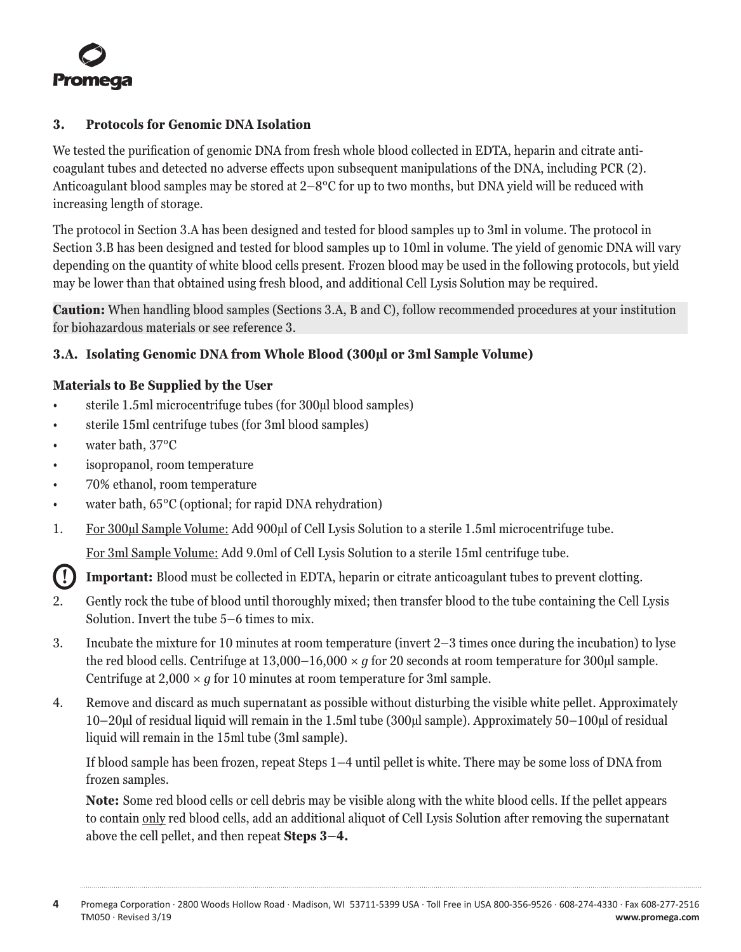<span id="page-4-0"></span>

#### **3. Protocols for Genomic DNA Isolation**

We tested the purification of genomic DNA from fresh whole blood collected in EDTA, heparin and citrate anticoagulant tubes and detected no adverse effects upon subsequent manipulations of the DNA, including PCR (2). Anticoagulant blood samples may be stored at 2–8°C for up to two months, but DNA yield will be reduced with increasing length of storage.

The protocol in Section 3.A has been designed and tested for blood samples up to 3ml in volume. The protocol in Section 3.B has been designed and tested for blood samples up to 10ml in volume. The yield of genomic DNA will vary depending on the quantity of white blood cells present. Frozen blood may be used in the following protocols, but yield may be lower than that obtained using fresh blood, and additional Cell Lysis Solution may be required.

**Caution:** When handling blood samples (Sections 3.A, B and C), follow recommended procedures at your institution for biohazardous materials or see reference 3.

#### **3.A. Isolating Genomic DNA from Whole Blood (300µl or 3ml Sample Volume)**

#### **Materials to Be Supplied by the User**

- sterile 1.5ml microcentrifuge tubes (for 300µl blood samples)
- sterile 15ml centrifuge tubes (for 3ml blood samples)
- water bath, 37°C
- isopropanol, room temperature
- 70% ethanol, room temperature
- water bath, 65°C (optional; for rapid DNA rehydration)
- 1. For 300µl Sample Volume: Add 900µl of Cell Lysis Solution to a sterile 1.5ml microcentrifuge tube.

For 3ml Sample Volume: Add 9.0ml of Cell Lysis Solution to a sterile 15ml centrifuge tube.

**! Important:** Blood must be collected in EDTA, heparin or citrate anticoagulant tubes to prevent clotting.

- 2. Gently rock the tube of blood until thoroughly mixed; then transfer blood to the tube containing the Cell Lysis Solution. Invert the tube 5–6 times to mix.
- 3. Incubate the mixture for 10 minutes at room temperature (invert 2–3 times once during the incubation) to lyse the red blood cells. Centrifuge at  $13,000-16,000 \times q$  for 20 seconds at room temperature for 300 µl sample. Centrifuge at  $2,000 \times q$  for 10 minutes at room temperature for 3ml sample.
- 4. Remove and discard as much supernatant as possible without disturbing the visible white pellet. Approximately 10–20µl of residual liquid will remain in the 1.5ml tube (300µl sample). Approximately 50–100µl of residual liquid will remain in the 15ml tube (3ml sample).

If blood sample has been frozen, repeat Steps 1–4 until pellet is white. There may be some loss of DNA from frozen samples.

**Note:** Some red blood cells or cell debris may be visible along with the white blood cells. If the pellet appears to contain only red blood cells, add an additional aliquot of Cell Lysis Solution after removing the supernatant above the cell pellet, and then repeat **Steps 3–4.**

**<sup>4</sup>** Promega Corporation · 2800 Woods Hollow Road · Madison, WI 53711-5399 USA · Toll Free in USA 800-356-9526 · 608-274-4330 · Fax 608-277-2516 TM050 · Revised 3/19 **www.promega.com**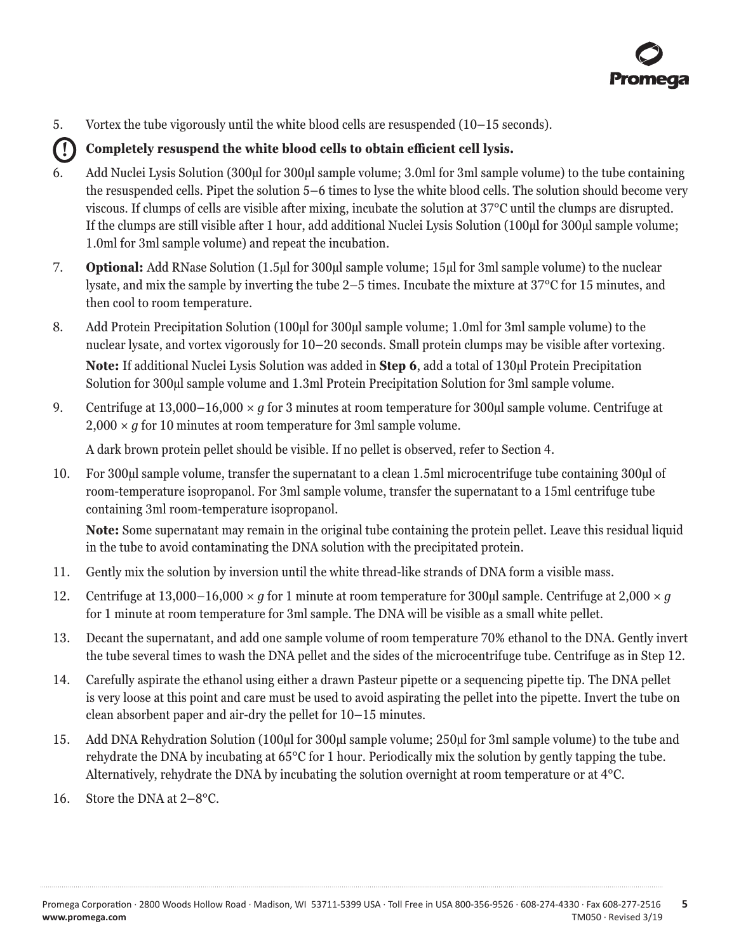5. Vortex the tube vigorously until the white blood cells are resuspended (10–15 seconds).

## **! Completely resuspend the white blood cells to obtain efficient cell lysis.**

- 6. Add Nuclei Lysis Solution (300µl for 300µl sample volume; 3.0ml for 3ml sample volume) to the tube containing the resuspended cells. Pipet the solution 5–6 times to lyse the white blood cells. The solution should become very viscous. If clumps of cells are visible after mixing, incubate the solution at 37°C until the clumps are disrupted. If the clumps are still visible after 1 hour, add additional Nuclei Lysis Solution (100µl for 300µl sample volume; 1.0ml for 3ml sample volume) and repeat the incubation.
- 7. **Optional:** Add RNase Solution (1.5µl for 300µl sample volume; 15µl for 3ml sample volume) to the nuclear lysate, and mix the sample by inverting the tube 2–5 times. Incubate the mixture at 37°C for 15 minutes, and then cool to room temperature.
- 8. Add Protein Precipitation Solution (100µl for 300µl sample volume; 1.0ml for 3ml sample volume) to the nuclear lysate, and vortex vigorously for 10–20 seconds. Small protein clumps may be visible after vortexing. **Note:** If additional Nuclei Lysis Solution was added in **Step 6**, add a total of 130µl Protein Precipitation Solution for 300µl sample volume and 1.3ml Protein Precipitation Solution for 3ml sample volume.
- 9. Centrifuge at 13,000–16,000 *× g* for 3 minutes at room temperature for 300µl sample volume. Centrifuge at  $2,000 \times q$  for 10 minutes at room temperature for 3ml sample volume.

A dark brown protein pellet should be visible. If no pellet is observed, refer to Section 4.

10. For 300µl sample volume, transfer the supernatant to a clean 1.5ml microcentrifuge tube containing 300µl of room-temperature isopropanol. For 3ml sample volume, transfer the supernatant to a 15ml centrifuge tube containing 3ml room-temperature isopropanol.

**Note:** Some supernatant may remain in the original tube containing the protein pellet. Leave this residual liquid in the tube to avoid contaminating the DNA solution with the precipitated protein.

- 11. Gently mix the solution by inversion until the white thread-like strands of DNA form a visible mass.
- 12. Centrifuge at 13,000–16,000 *× g* for 1 minute at room temperature for 300µl sample. Centrifuge at 2,000 *× g* for 1 minute at room temperature for 3ml sample. The DNA will be visible as a small white pellet.
- 13. Decant the supernatant, and add one sample volume of room temperature 70% ethanol to the DNA. Gently invert the tube several times to wash the DNA pellet and the sides of the microcentrifuge tube. Centrifuge as in Step 12.
- 14. Carefully aspirate the ethanol using either a drawn Pasteur pipette or a sequencing pipette tip. The DNA pellet is very loose at this point and care must be used to avoid aspirating the pellet into the pipette. Invert the tube on clean absorbent paper and air-dry the pellet for 10–15 minutes.
- 15. Add DNA Rehydration Solution (100µl for 300µl sample volume; 250µl for 3ml sample volume) to the tube and rehydrate the DNA by incubating at 65°C for 1 hour. Periodically mix the solution by gently tapping the tube. Alternatively, rehydrate the DNA by incubating the solution overnight at room temperature or at 4°C.
- 16. Store the DNA at 2–8°C.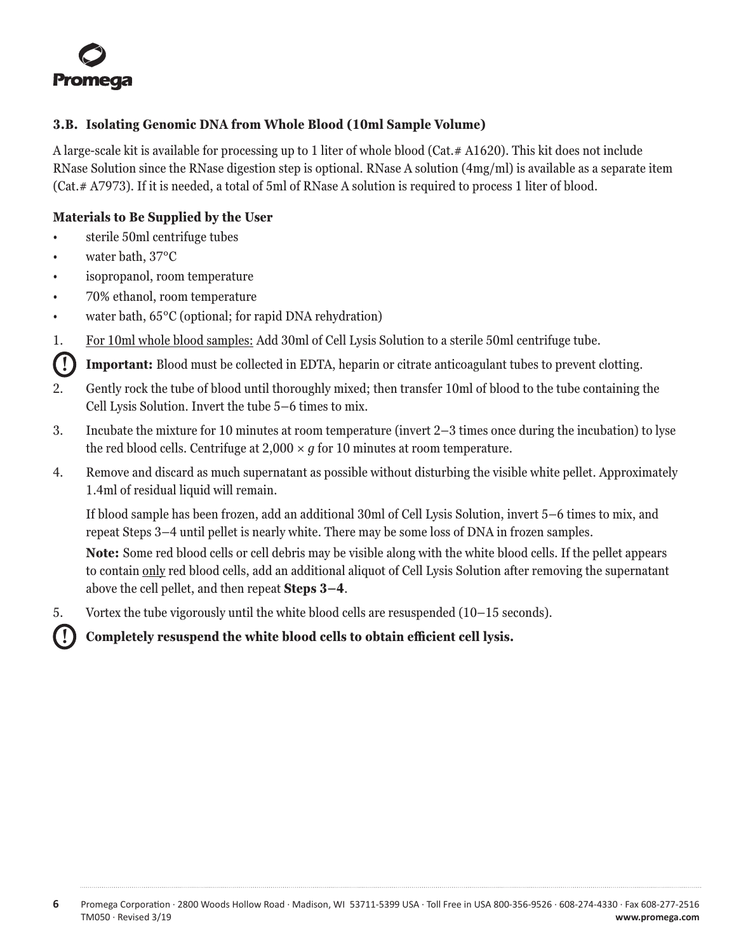<span id="page-6-0"></span>

#### **3.B. Isolating Genomic DNA from Whole Blood (10ml Sample Volume)**

A large-scale kit is available for processing up to 1 liter of whole blood (Cat.# A1620). This kit does not include RNase Solution since the RNase digestion step is optional. RNase A solution (4mg/ml) is available as a separate item (Cat.# A7973). If it is needed, a total of 5ml of RNase A solution is required to process 1 liter of blood.

#### **Materials to Be Supplied by the User**

- sterile 50ml centrifuge tubes
- water bath, 37°C
- isopropanol, room temperature
- 70% ethanol, room temperature
- water bath, 65°C (optional; for rapid DNA rehydration)
- 1. For 10ml whole blood samples: Add 30ml of Cell Lysis Solution to a sterile 50ml centrifuge tube.

**! Important:** Blood must be collected in EDTA, heparin or citrate anticoagulant tubes to prevent clotting.

- 2. Gently rock the tube of blood until thoroughly mixed; then transfer 10ml of blood to the tube containing the Cell Lysis Solution. Invert the tube 5–6 times to mix.
- 3. Incubate the mixture for 10 minutes at room temperature (invert 2–3 times once during the incubation) to lyse the red blood cells. Centrifuge at  $2,000 \times q$  for 10 minutes at room temperature.
- 4. Remove and discard as much supernatant as possible without disturbing the visible white pellet. Approximately 1.4ml of residual liquid will remain.

If blood sample has been frozen, add an additional 30ml of Cell Lysis Solution, invert 5–6 times to mix, and repeat Steps 3–4 until pellet is nearly white. There may be some loss of DNA in frozen samples.

**Note:** Some red blood cells or cell debris may be visible along with the white blood cells. If the pellet appears to contain only red blood cells, add an additional aliquot of Cell Lysis Solution after removing the supernatant above the cell pellet, and then repeat **Steps 3–4**.

5. Vortex the tube vigorously until the white blood cells are resuspended (10–15 seconds).

**! Completely resuspend the white blood cells to obtain efficient cell lysis.**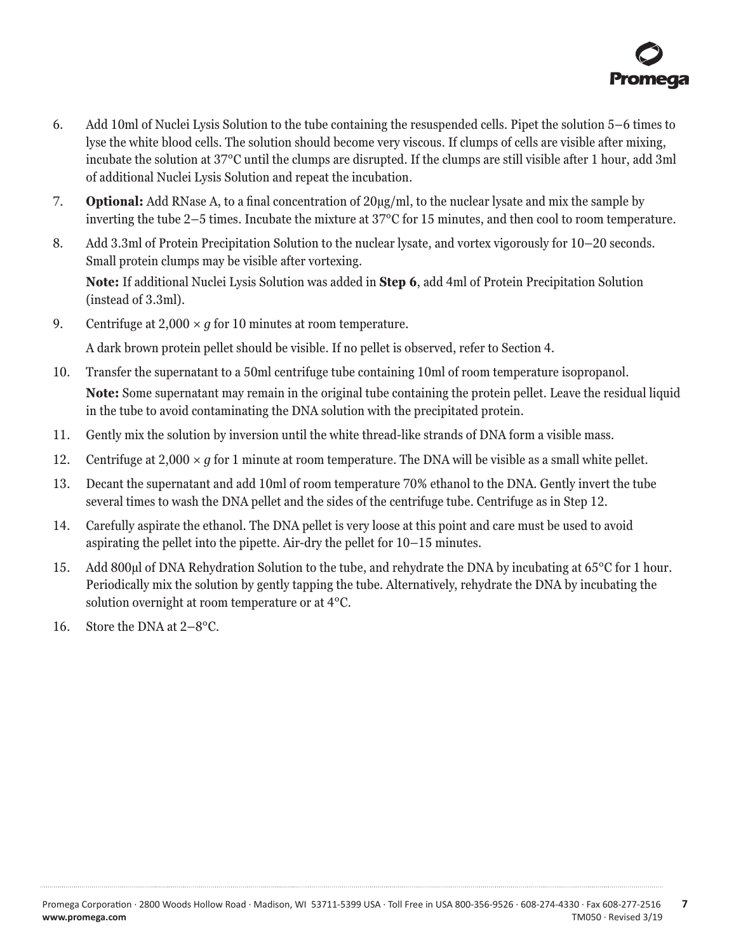- 6. Add 10ml of Nuclei Lysis Solution to the tube containing the resuspended cells. Pipet the solution 5–6 times to lyse the white blood cells. The solution should become very viscous. If clumps of cells are visible after mixing, incubate the solution at 37°C until the clumps are disrupted. If the clumps are still visible after 1 hour, add 3ml of additional Nuclei Lysis Solution and repeat the incubation.
- 7. **Optional:** Add RNase A, to a final concentration of 20µg/ml, to the nuclear lysate and mix the sample by inverting the tube 2–5 times. Incubate the mixture at 37°C for 15 minutes, and then cool to room temperature.
- 8. Add 3.3ml of Protein Precipitation Solution to the nuclear lysate, and vortex vigorously for 10–20 seconds. Small protein clumps may be visible after vortexing. **Note:** If additional Nuclei Lysis Solution was added in **Step 6**, add 4ml of Protein Precipitation Solution (instead of 3.3ml).
- 9. Centrifuge at  $2,000 \times q$  for 10 minutes at room temperature.

A dark brown protein pellet should be visible. If no pellet is observed, refer to Section 4.

- 10. Transfer the supernatant to a 50ml centrifuge tube containing 10ml of room temperature isopropanol. **Note:** Some supernatant may remain in the original tube containing the protein pellet. Leave the residual liquid in the tube to avoid contaminating the DNA solution with the precipitated protein.
- 11. Gently mix the solution by inversion until the white thread-like strands of DNA form a visible mass.
- 12. Centrifuge at  $2,000 \times q$  for 1 minute at room temperature. The DNA will be visible as a small white pellet.
- 13. Decant the supernatant and add 10ml of room temperature 70% ethanol to the DNA. Gently invert the tube several times to wash the DNA pellet and the sides of the centrifuge tube. Centrifuge as in Step 12.
- 14. Carefully aspirate the ethanol. The DNA pellet is very loose at this point and care must be used to avoid aspirating the pellet into the pipette. Air-dry the pellet for 10–15 minutes.
- 15. Add 800µl of DNA Rehydration Solution to the tube, and rehydrate the DNA by incubating at 65°C for 1 hour. Periodically mix the solution by gently tapping the tube. Alternatively, rehydrate the DNA by incubating the solution overnight at room temperature or at 4°C.
- 16. Store the DNA at 2–8°C.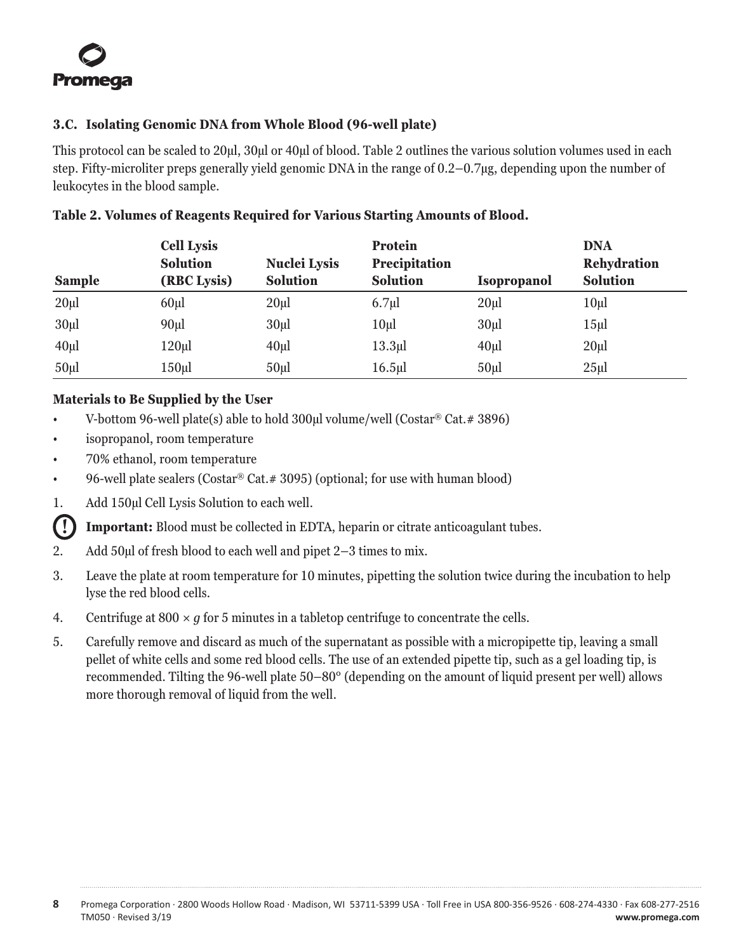## <span id="page-8-0"></span>**3.C. Isolating Genomic DNA from Whole Blood (96-well plate)**

This protocol can be scaled to 20µl, 30µl or 40µl of blood. Table 2 outlines the various solution volumes used in each step. Fifty-microliter preps generally yield genomic DNA in the range of 0.2–0.7µg, depending upon the number of leukocytes in the blood sample.

| <b>Sample</b>     | <b>Cell Lysis</b><br><b>Solution</b><br>(RBC Lysis) | <b>Nuclei Lysis</b><br><b>Solution</b> | <b>Protein</b><br><b>Precipitation</b><br><b>Solution</b> | <b>Isopropanol</b> | <b>DNA</b><br><b>Rehydration</b><br><b>Solution</b> |
|-------------------|-----------------------------------------------------|----------------------------------------|-----------------------------------------------------------|--------------------|-----------------------------------------------------|
| 20 <sub>u</sub> l | $60$ µl                                             | 20 <sub>u</sub>                        | $6.7 \mu$                                                 | 20 <sub>µ</sub>    | $10\mu$                                             |
| 30 <sub>µ</sub>   | 90 <sub>µ</sub>                                     | 30 <sub>u</sub>                        | 10 <sub>µ</sub>                                           | 30 <sub>u</sub>    | 15 <sub>µ</sub>                                     |
| $40 \mu$          | 120ul                                               | $40\mu$                                | $13.3 \mu$                                                | $40 \mu$           | $20 \mu$                                            |
| 50 <sub>u</sub>   | 150ul                                               | 50 <sub>ul</sub>                       | $16.5$ ul                                                 | 50 <sub>ul</sub>   | $25 \mu$                                            |

## **Table 2. Volumes of Reagents Required for Various Starting Amounts of Blood.**

## **Materials to Be Supplied by the User**

- V-bottom 96-well plate(s) able to hold 300µl volume/well (Costar® Cat.# 3896)
- isopropanol, room temperature
- 70% ethanol, room temperature
- 96-well plate sealers (Costar<sup>®</sup> Cat. # 3095) (optional; for use with human blood)
- 1. Add 150µl Cell Lysis Solution to each well.

**! Important:** Blood must be collected in EDTA, heparin or citrate anticoagulant tubes.

- 2. Add 50µl of fresh blood to each well and pipet 2–3 times to mix.
- 3. Leave the plate at room temperature for 10 minutes, pipetting the solution twice during the incubation to help lyse the red blood cells.
- 4. Centrifuge at  $800 \times g$  for 5 minutes in a table to concentrate the cells.
- 5. Carefully remove and discard as much of the supernatant as possible with a micropipette tip, leaving a small pellet of white cells and some red blood cells. The use of an extended pipette tip, such as a gel loading tip, is recommended. Tilting the 96-well plate 50–80° (depending on the amount of liquid present per well) allows more thorough removal of liquid from the well.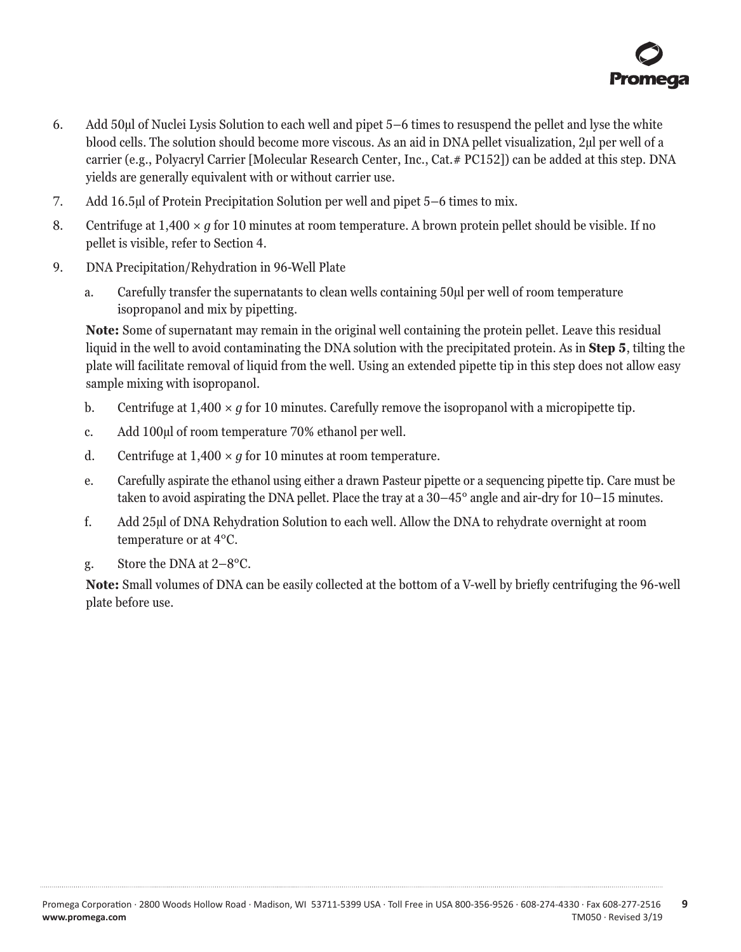- 6. Add 50µl of Nuclei Lysis Solution to each well and pipet 5–6 times to resuspend the pellet and lyse the white blood cells. The solution should become more viscous. As an aid in DNA pellet visualization, 2µl per well of a carrier (e.g., Polyacryl Carrier [Molecular Research Center, Inc., Cat.# PC152]) can be added at this step. DNA yields are generally equivalent with or without carrier use.
- 7. Add 16.5µl of Protein Precipitation Solution per well and pipet 5–6 times to mix.
- 8. Centrifuge at 1,400 *× g* for 10 minutes at room temperature. A brown protein pellet should be visible. If no pellet is visible, refer to Section 4.
- 9. DNA Precipitation/Rehydration in 96-Well Plate
	- a. Carefully transfer the supernatants to clean wells containing 50µl per well of room temperature isopropanol and mix by pipetting.

**Note:** Some of supernatant may remain in the original well containing the protein pellet. Leave this residual liquid in the well to avoid contaminating the DNA solution with the precipitated protein. As in **Step 5**, tilting the plate will facilitate removal of liquid from the well. Using an extended pipette tip in this step does not allow easy sample mixing with isopropanol.

- b. Centrifuge at  $1,400 \times q$  for 10 minutes. Carefully remove the isopropanol with a micropipette tip.
- c. Add 100µl of room temperature 70% ethanol per well.
- d. Centrifuge at  $1,400 \times q$  for 10 minutes at room temperature.
- e. Carefully aspirate the ethanol using either a drawn Pasteur pipette or a sequencing pipette tip. Care must be taken to avoid aspirating the DNA pellet. Place the tray at a 30–45° angle and air-dry for 10–15 minutes.
- f. Add 25µl of DNA Rehydration Solution to each well. Allow the DNA to rehydrate overnight at room temperature or at 4°C.
- g. Store the DNA at 2–8°C.

**Note:** Small volumes of DNA can be easily collected at the bottom of a V-well by briefly centrifuging the 96-well plate before use.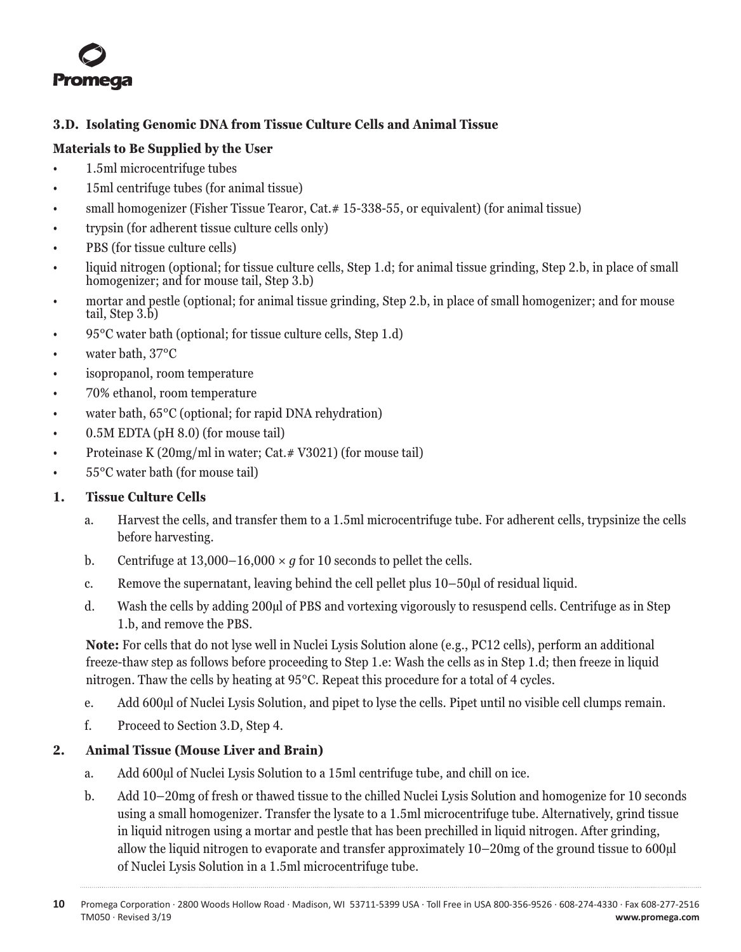<span id="page-10-0"></span>

## **3.D. Isolating Genomic DNA from Tissue Culture Cells and Animal Tissue**

## **Materials to Be Supplied by the User**

- 1.5ml microcentrifuge tubes
- 15ml centrifuge tubes (for animal tissue)
- small homogenizer (Fisher Tissue Tearor, Cat. #15-338-55, or equivalent) (for animal tissue)
- trypsin (for adherent tissue culture cells only)
- PBS (for tissue culture cells)
- liquid nitrogen (optional; for tissue culture cells, Step 1.d; for animal tissue grinding, Step 2.b, in place of small homogenizer; and for mouse tail, Step 3.b)
- mortar and pestle (optional; for animal tissue grinding, Step 2.b, in place of small homogenizer; and for mouse tail, Step 3.b)
- 95°C water bath (optional; for tissue culture cells, Step 1.d)
- water bath, 37°C
- isopropanol, room temperature
- 70% ethanol, room temperature
- water bath, 65<sup>o</sup>C (optional; for rapid DNA rehydration)
- 0.5M EDTA (pH 8.0) (for mouse tail)
- Proteinase K (20mg/ml in water; Cat. # V3021) (for mouse tail)
- 55°C water bath (for mouse tail)

## **1. Tissue Culture Cells**

- a. Harvest the cells, and transfer them to a 1.5ml microcentrifuge tube. For adherent cells, trypsinize the cells before harvesting.
- b. Centrifuge at  $13,000-16,000 \times g$  for 10 seconds to pellet the cells.
- c. Remove the supernatant, leaving behind the cell pellet plus 10–50µl of residual liquid.
- d. Wash the cells by adding 200µl of PBS and vortexing vigorously to resuspend cells. Centrifuge as in Step 1.b, and remove the PBS.

**Note:** For cells that do not lyse well in Nuclei Lysis Solution alone (e.g., PC12 cells), perform an additional freeze-thaw step as follows before proceeding to Step 1.e: Wash the cells as in Step 1.d; then freeze in liquid nitrogen. Thaw the cells by heating at 95°C. Repeat this procedure for a total of 4 cycles.

- e. Add 600µl of Nuclei Lysis Solution, and pipet to lyse the cells. Pipet until no visible cell clumps remain.
- f. Proceed to Section 3.D, Step 4.

## **2. Animal Tissue (Mouse Liver and Brain)**

- a. Add 600µl of Nuclei Lysis Solution to a 15ml centrifuge tube, and chill on ice.
- b. Add 10–20mg of fresh or thawed tissue to the chilled Nuclei Lysis Solution and homogenize for 10 seconds using a small homogenizer. Transfer the lysate to a 1.5ml microcentrifuge tube. Alternatively, grind tissue in liquid nitrogen using a mortar and pestle that has been prechilled in liquid nitrogen. After grinding, allow the liquid nitrogen to evaporate and transfer approximately 10–20mg of the ground tissue to 600 ul of Nuclei Lysis Solution in a 1.5ml microcentrifuge tube.

**<sup>10</sup>** Promega Corporation · 2800 Woods Hollow Road · Madison, WI 53711-5399 USA · Toll Free in USA 800-356-9526 · 608-274-4330 · Fax 608-277-2516 TM050 · Revised 3/19 **www.promega.com**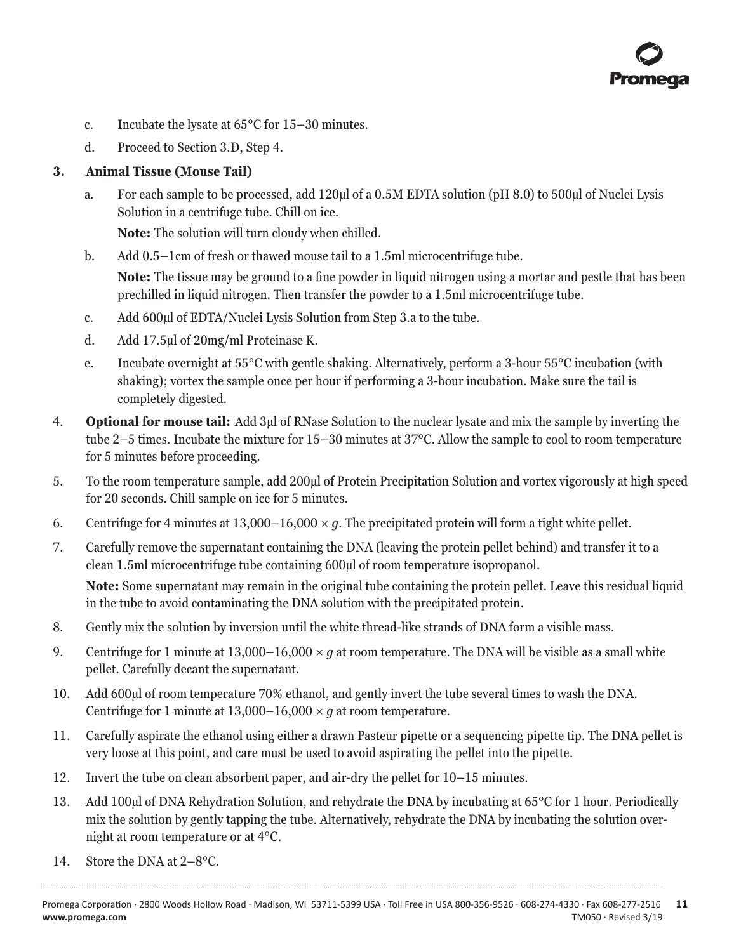

- c. Incubate the lysate at 65°C for 15–30 minutes.
- d. Proceed to Section 3.D, Step 4.

#### **3. Animal Tissue (Mouse Tail)**

a. For each sample to be processed, add 120µl of a 0.5M EDTA solution (pH 8.0) to 500µl of Nuclei Lysis Solution in a centrifuge tube. Chill on ice.

**Note:** The solution will turn cloudy when chilled.

b. Add 0.5–1cm of fresh or thawed mouse tail to a 1.5ml microcentrifuge tube.

 **Note:** The tissue may be ground to a fine powder in liquid nitrogen using a mortar and pestle that has been prechilled in liquid nitrogen. Then transfer the powder to a 1.5ml microcentrifuge tube.

- c. Add 600µl of EDTA/Nuclei Lysis Solution from Step 3.a to the tube.
- d. Add 17.5µl of 20mg/ml Proteinase K.
- e. Incubate overnight at 55°C with gentle shaking. Alternatively, perform a 3-hour 55°C incubation (with shaking); vortex the sample once per hour if performing a 3-hour incubation. Make sure the tail is completely digested.
- 4. **Optional for mouse tail:** Add 3µl of RNase Solution to the nuclear lysate and mix the sample by inverting the tube 2–5 times. Incubate the mixture for 15–30 minutes at 37°C. Allow the sample to cool to room temperature for 5 minutes before proceeding.
- 5. To the room temperature sample, add 200µl of Protein Precipitation Solution and vortex vigorously at high speed for 20 seconds. Chill sample on ice for 5 minutes.
- 6. Centrifuge for 4 minutes at 13,000–16,000 *× g*. The precipitated protein will form a tight white pellet.
- 7. Carefully remove the supernatant containing the DNA (leaving the protein pellet behind) and transfer it to a clean 1.5ml microcentrifuge tube containing 600µl of room temperature isopropanol.

**Note:** Some supernatant may remain in the original tube containing the protein pellet. Leave this residual liquid in the tube to avoid contaminating the DNA solution with the precipitated protein.

- 8. Gently mix the solution by inversion until the white thread-like strands of DNA form a visible mass.
- 9. Centrifuge for 1 minute at 13,000–16,000 *× g* at room temperature. The DNA will be visible as a small white pellet. Carefully decant the supernatant.
- 10. Add 600µl of room temperature 70% ethanol, and gently invert the tube several times to wash the DNA. Centrifuge for 1 minute at  $13,000-16,000 \times g$  at room temperature.
- 11. Carefully aspirate the ethanol using either a drawn Pasteur pipette or a sequencing pipette tip. The DNA pellet is very loose at this point, and care must be used to avoid aspirating the pellet into the pipette.
- 12. Invert the tube on clean absorbent paper, and air-dry the pellet for 10–15 minutes.
- 13. Add 100µl of DNA Rehydration Solution, and rehydrate the DNA by incubating at 65°C for 1 hour. Periodically mix the solution by gently tapping the tube. Alternatively, rehydrate the DNA by incubating the solution overnight at room temperature or at 4°C.
- 14. Store the DNA at 2–8°C.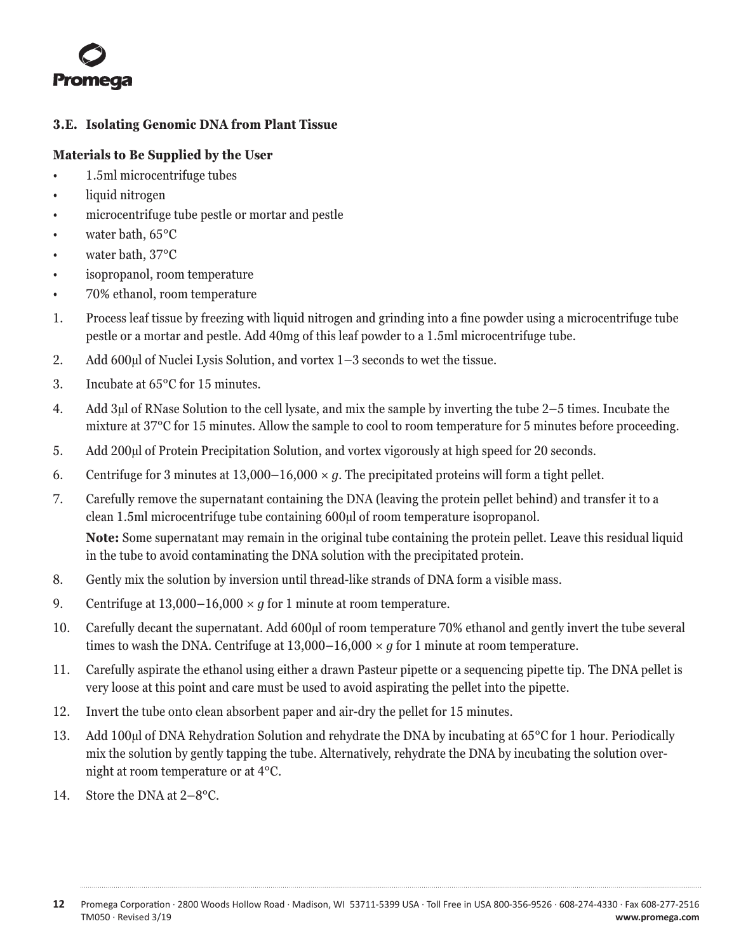<span id="page-12-0"></span>

## **3.E. Isolating Genomic DNA from Plant Tissue**

## **Materials to Be Supplied by the User**

- 1.5ml microcentrifuge tubes
- liquid nitrogen
- microcentrifuge tube pestle or mortar and pestle
- water bath, 65°C
- water bath, 37°C
- isopropanol, room temperature
- 70% ethanol, room temperature
- 1. Process leaf tissue by freezing with liquid nitrogen and grinding into a fine powder using a microcentrifuge tube pestle or a mortar and pestle. Add 40mg of this leaf powder to a 1.5ml microcentrifuge tube.
- 2. Add 600µl of Nuclei Lysis Solution, and vortex 1–3 seconds to wet the tissue.
- 3. Incubate at 65°C for 15 minutes.
- 4. Add 3µl of RNase Solution to the cell lysate, and mix the sample by inverting the tube 2–5 times. Incubate the mixture at 37°C for 15 minutes. Allow the sample to cool to room temperature for 5 minutes before proceeding.
- 5. Add 200µl of Protein Precipitation Solution, and vortex vigorously at high speed for 20 seconds.
- 6. Centrifuge for 3 minutes at 13,000–16,000 *× g*. The precipitated proteins will form a tight pellet.
- 7. Carefully remove the supernatant containing the DNA (leaving the protein pellet behind) and transfer it to a clean 1.5ml microcentrifuge tube containing 600µl of room temperature isopropanol. **Note:** Some supernatant may remain in the original tube containing the protein pellet. Leave this residual liquid

in the tube to avoid contaminating the DNA solution with the precipitated protein.

- 8. Gently mix the solution by inversion until thread-like strands of DNA form a visible mass.
- 9. Centrifuge at  $13,000-16,000 \times q$  for 1 minute at room temperature.
- 10. Carefully decant the supernatant. Add 600µl of room temperature 70% ethanol and gently invert the tube several times to wash the DNA. Centrifuge at  $13,000-16,000 \times q$  for 1 minute at room temperature.
- 11. Carefully aspirate the ethanol using either a drawn Pasteur pipette or a sequencing pipette tip. The DNA pellet is very loose at this point and care must be used to avoid aspirating the pellet into the pipette.
- 12. Invert the tube onto clean absorbent paper and air-dry the pellet for 15 minutes.
- 13. Add 100µl of DNA Rehydration Solution and rehydrate the DNA by incubating at 65°C for 1 hour. Periodically mix the solution by gently tapping the tube. Alternatively, rehydrate the DNA by incubating the solution overnight at room temperature or at 4°C.
- 14. Store the DNA at 2-8<sup>o</sup>C.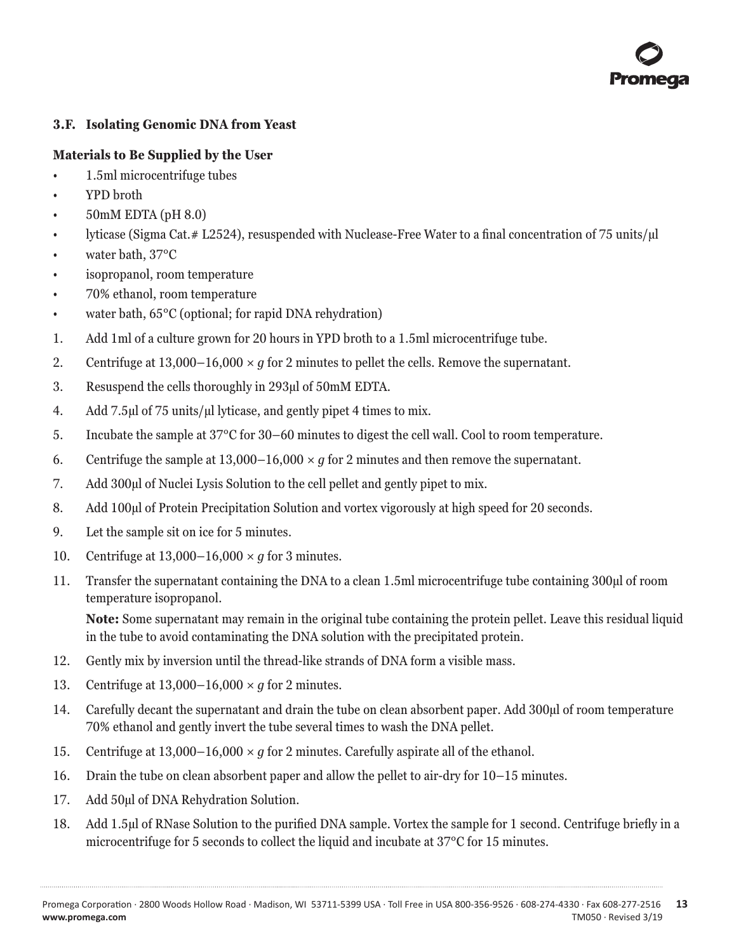

## <span id="page-13-0"></span>**3.F. Isolating Genomic DNA from Yeast**

## **Materials to Be Supplied by the User**

- 1.5ml microcentrifuge tubes
- YPD broth
- 50mM EDTA (pH 8.0)
- lyticase (Sigma Cat.# L2524), resuspended with Nuclease-Free Water to a final concentration of 75 units/µl
- water bath, 37°C
- isopropanol, room temperature
- 70% ethanol, room temperature
- water bath, 65<sup>o</sup>C (optional; for rapid DNA rehydration)
- 1. Add 1ml of a culture grown for 20 hours in YPD broth to a 1.5ml microcentrifuge tube.
- 2. Centrifuge at  $13,000-16,000 \times q$  for 2 minutes to pellet the cells. Remove the supernatant.
- 3. Resuspend the cells thoroughly in 293µl of 50mM EDTA.
- 4. Add 7.5µl of 75 units/µl lyticase, and gently pipet 4 times to mix.
- 5. Incubate the sample at 37°C for 30–60 minutes to digest the cell wall. Cool to room temperature.
- 6. Centrifuge the sample at  $13,000-16,000 \times q$  for 2 minutes and then remove the supernatant.
- 7. Add 300µl of Nuclei Lysis Solution to the cell pellet and gently pipet to mix.
- 8. Add 100µl of Protein Precipitation Solution and vortex vigorously at high speed for 20 seconds.
- 9. Let the sample sit on ice for 5 minutes.
- 10. Centrifuge at 13,000–16,000 *× g* for 3 minutes.
- 11. Transfer the supernatant containing the DNA to a clean 1.5ml microcentrifuge tube containing 300µl of room temperature isopropanol.

**Note:** Some supernatant may remain in the original tube containing the protein pellet. Leave this residual liquid in the tube to avoid contaminating the DNA solution with the precipitated protein.

- 12. Gently mix by inversion until the thread-like strands of DNA form a visible mass.
- 13. Centrifuge at 13,000–16,000 *× g* for 2 minutes.
- 14. Carefully decant the supernatant and drain the tube on clean absorbent paper. Add 300µl of room temperature 70% ethanol and gently invert the tube several times to wash the DNA pellet.
- 15. Centrifuge at 13,000–16,000 *× g* for 2 minutes. Carefully aspirate all of the ethanol.
- 16. Drain the tube on clean absorbent paper and allow the pellet to air-dry for 10–15 minutes.
- 17. Add 50µl of DNA Rehydration Solution.
- 18. Add 1.5µl of RNase Solution to the purified DNA sample. Vortex the sample for 1 second. Centrifuge briefly in a microcentrifuge for 5 seconds to collect the liquid and incubate at 37°C for 15 minutes.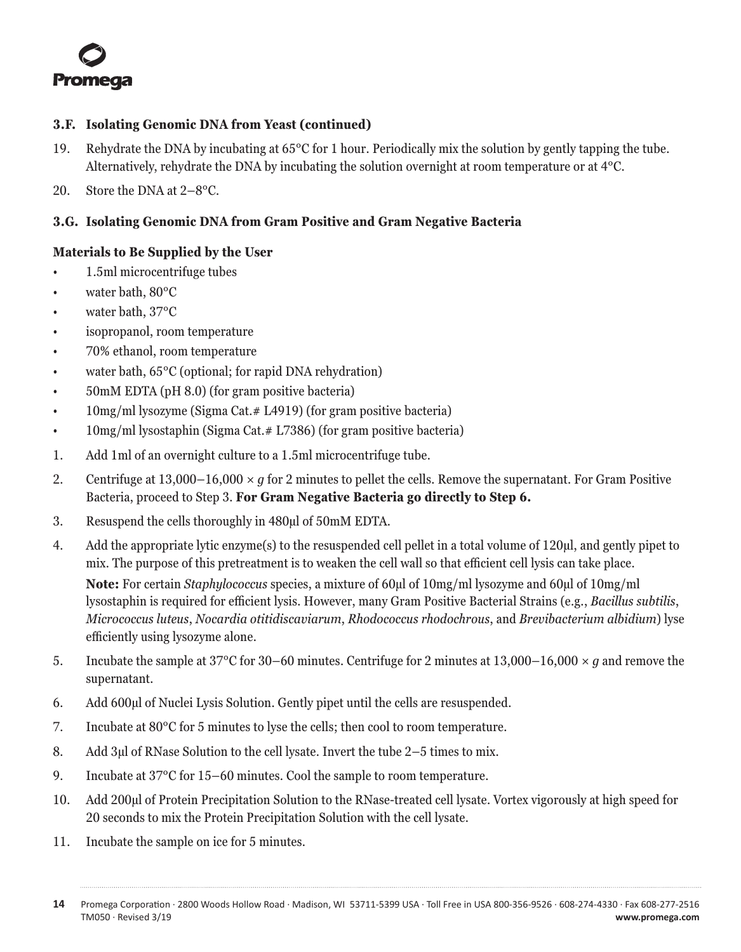<span id="page-14-0"></span>

#### **3.F. Isolating Genomic DNA from Yeast (continued)**

- 19. Rehydrate the DNA by incubating at 65°C for 1 hour. Periodically mix the solution by gently tapping the tube. Alternatively, rehydrate the DNA by incubating the solution overnight at room temperature or at 4°C.
- 20. Store the DNA at 2–8°C.

## **3.G. Isolating Genomic DNA from Gram Positive and Gram Negative Bacteria**

#### **Materials to Be Supplied by the User**

- 1.5ml microcentrifuge tubes
- water bath, 80°C
- water bath, 37°C
- isopropanol, room temperature
- 70% ethanol, room temperature
- water bath,  $65^{\circ}$ C (optional; for rapid DNA rehydration)
- 50mM EDTA (pH 8.0) (for gram positive bacteria)
- 10mg/ml lysozyme (Sigma Cat. # L4919) (for gram positive bacteria)
- 10mg/ml lysostaphin (Sigma Cat. # L7386) (for gram positive bacteria)
- 1. Add 1ml of an overnight culture to a 1.5ml microcentrifuge tube.
- 2. Centrifuge at 13,000–16,000 *× g* for 2 minutes to pellet the cells. Remove the supernatant. For Gram Positive Bacteria, proceed to Step 3. **For Gram Negative Bacteria go directly to Step 6.**
- 3. Resuspend the cells thoroughly in 480µl of 50mM EDTA.
- 4. Add the appropriate lytic enzyme(s) to the resuspended cell pellet in a total volume of 120µl, and gently pipet to mix. The purpose of this pretreatment is to weaken the cell wall so that efficient cell lysis can take place.

**Note:** For certain *Staphylococcus* species, a mixture of 60µl of 10mg/ml lysozyme and 60µl of 10mg/ml lysostaphin is required for efficient lysis. However, many Gram Positive Bacterial Strains (e.g., *Bacillus subtilis*, *Micrococcus luteus*, *Nocardia otitidiscaviarum*, *Rhodococcus rhodochrous*, and *Brevibacterium albidium*) lyse efficiently using lysozyme alone.

- 5. Incubate the sample at 37°C for 30–60 minutes. Centrifuge for 2 minutes at 13,000–16,000 *× g* and remove the supernatant.
- 6. Add 600µl of Nuclei Lysis Solution. Gently pipet until the cells are resuspended.
- 7. Incubate at 80°C for 5 minutes to lyse the cells; then cool to room temperature.
- 8. Add 3µl of RNase Solution to the cell lysate. Invert the tube 2–5 times to mix.
- 9. Incubate at 37°C for 15–60 minutes. Cool the sample to room temperature.
- 10. Add 200µl of Protein Precipitation Solution to the RNase-treated cell lysate. Vortex vigorously at high speed for 20 seconds to mix the Protein Precipitation Solution with the cell lysate.
- 11. Incubate the sample on ice for 5 minutes.

**<sup>14</sup>** Promega Corporation · 2800 Woods Hollow Road · Madison, WI 53711-5399 USA · Toll Free in USA 800-356-9526 · 608-274-4330 · Fax 608-277-2516 TM050 · Revised 3/19 **www.promega.com**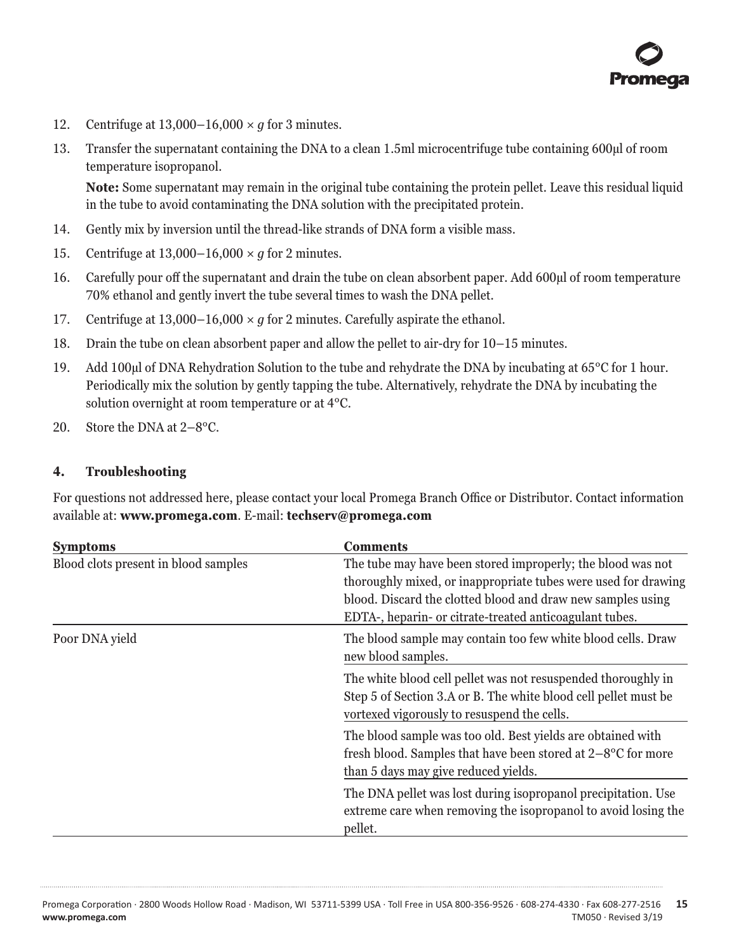

- <span id="page-15-0"></span>12. Centrifuge at 13,000–16,000 *× g* for 3 minutes.
- 13. Transfer the supernatant containing the DNA to a clean 1.5ml microcentrifuge tube containing 600µl of room temperature isopropanol.

**Note:** Some supernatant may remain in the original tube containing the protein pellet. Leave this residual liquid in the tube to avoid contaminating the DNA solution with the precipitated protein.

- 14. Gently mix by inversion until the thread-like strands of DNA form a visible mass.
- 15. Centrifuge at 13,000–16,000 *× g* for 2 minutes.
- 16. Carefully pour off the supernatant and drain the tube on clean absorbent paper. Add 600µl of room temperature 70% ethanol and gently invert the tube several times to wash the DNA pellet.
- 17. Centrifuge at 13,000–16,000 *× g* for 2 minutes. Carefully aspirate the ethanol.
- 18. Drain the tube on clean absorbent paper and allow the pellet to air-dry for 10–15 minutes.
- 19. Add 100µl of DNA Rehydration Solution to the tube and rehydrate the DNA by incubating at 65°C for 1 hour. Periodically mix the solution by gently tapping the tube. Alternatively, rehydrate the DNA by incubating the solution overnight at room temperature or at 4°C.
- 20. Store the DNA at 2–8°C.

#### **4. Troubleshooting**

For questions not addressed here, please contact your local Promega Branch Office or Distributor. Contact information available at: **www.promega.com**. E-mail: **techserv@promega.com**

| <b>Symptoms</b>                      | <b>Comments</b>                                                                                                                                                                                                                                         |  |
|--------------------------------------|---------------------------------------------------------------------------------------------------------------------------------------------------------------------------------------------------------------------------------------------------------|--|
| Blood clots present in blood samples | The tube may have been stored improperly; the blood was not<br>thoroughly mixed, or inappropriate tubes were used for drawing<br>blood. Discard the clotted blood and draw new samples using<br>EDTA-, heparin- or citrate-treated anticoagulant tubes. |  |
| Poor DNA yield                       | The blood sample may contain too few white blood cells. Draw<br>new blood samples.                                                                                                                                                                      |  |
|                                      | The white blood cell pellet was not resuspended thoroughly in<br>Step 5 of Section 3.A or B. The white blood cell pellet must be<br>vortexed vigorously to resuspend the cells.                                                                         |  |
|                                      | The blood sample was too old. Best yields are obtained with<br>fresh blood. Samples that have been stored at $2-8^{\circ}$ C for more<br>than 5 days may give reduced yields.                                                                           |  |
|                                      | The DNA pellet was lost during isopropanol precipitation. Use<br>extreme care when removing the isopropanol to avoid losing the<br>pellet.                                                                                                              |  |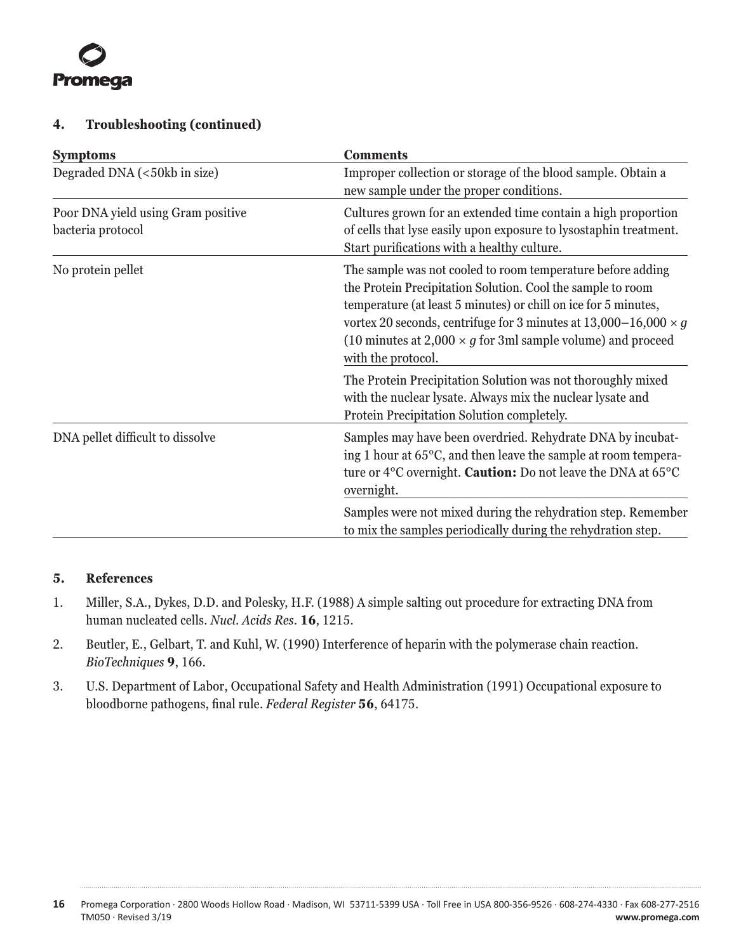<span id="page-16-0"></span>

#### **4. Troubleshooting (continued)**

| <b>Symptoms</b>                                         | <b>Comments</b>                                                                                                                                                                                                                                                                                                                                                      |  |
|---------------------------------------------------------|----------------------------------------------------------------------------------------------------------------------------------------------------------------------------------------------------------------------------------------------------------------------------------------------------------------------------------------------------------------------|--|
| Degraded DNA (<50kb in size)                            | Improper collection or storage of the blood sample. Obtain a<br>new sample under the proper conditions.                                                                                                                                                                                                                                                              |  |
| Poor DNA yield using Gram positive<br>bacteria protocol | Cultures grown for an extended time contain a high proportion<br>of cells that lyse easily upon exposure to lysostaphin treatment.<br>Start purifications with a healthy culture.                                                                                                                                                                                    |  |
| No protein pellet                                       | The sample was not cooled to room temperature before adding<br>the Protein Precipitation Solution. Cool the sample to room<br>temperature (at least 5 minutes) or chill on ice for 5 minutes,<br>vortex 20 seconds, centrifuge for 3 minutes at $13,000-16,000 \times g$<br>(10 minutes at 2,000 $\times$ g for 3ml sample volume) and proceed<br>with the protocol. |  |
|                                                         | The Protein Precipitation Solution was not thoroughly mixed<br>with the nuclear lysate. Always mix the nuclear lysate and<br>Protein Precipitation Solution completely.                                                                                                                                                                                              |  |
| DNA pellet difficult to dissolve                        | Samples may have been overdried. Rehydrate DNA by incubat-<br>ing 1 hour at $65^{\circ}$ C, and then leave the sample at room tempera-<br>ture or 4°C overnight. Caution: Do not leave the DNA at 65°C<br>overnight.                                                                                                                                                 |  |
|                                                         | Samples were not mixed during the rehydration step. Remember<br>to mix the samples periodically during the rehydration step.                                                                                                                                                                                                                                         |  |

#### **5. References**

- 1. Miller, S.A., Dykes, D.D. and Polesky, H.F. (1988) A simple salting out procedure for extracting DNA from human nucleated cells. *Nucl. Acids Res.* **16**, 1215.
- 2. Beutler, E., Gelbart, T. and Kuhl, W. (1990) Interference of heparin with the polymerase chain reaction. *BioTechniques* **9**, 166.
- 3. U.S. Department of Labor, Occupational Safety and Health Administration (1991) Occupational exposure to bloodborne pathogens, final rule. *Federal Register* **56**, 64175.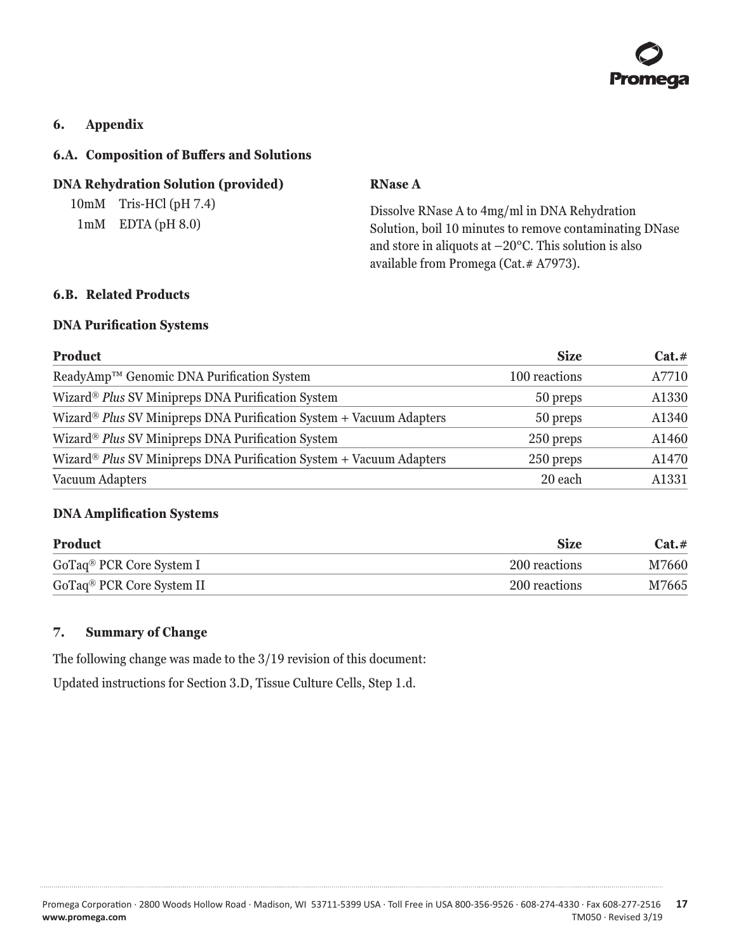

#### <span id="page-17-0"></span>**6. Appendix**

#### **6.A. Composition of Buffers and Solutions**

#### **DNA Rehydration Solution (provided)**

10mM Tris-HCl (pH 7.4) 1mM EDTA (pH 8.0)

#### **RNase A**

Dissolve RNase A to 4mg/ml in DNA Rehydration Solution, boil 10 minutes to remove contaminating DNase and store in aliquots at  $-20^{\circ}$ C. This solution is also available from Promega (Cat.# A7973).

## **6.B. Related Products**

#### **DNA Purification Systems**

| <b>Product</b>                                                                  | <b>Size</b>   | Cat.# |
|---------------------------------------------------------------------------------|---------------|-------|
| ReadyAmp™ Genomic DNA Purification System                                       | 100 reactions | A7710 |
| Wizard® Plus SV Minipreps DNA Purification System                               | 50 preps      | A1330 |
| Wizard® Plus SV Minipreps DNA Purification System + Vacuum Adapters             | 50 preps      | A1340 |
| Wizard <sup>®</sup> Plus SV Minipreps DNA Purification System                   | 250 preps     | A1460 |
| Wizard <sup>®</sup> Plus SV Minipreps DNA Purification System + Vacuum Adapters | 250 preps     | A1470 |
| Vacuum Adapters                                                                 | 20 each       | A1331 |

#### **DNA Amplification Systems**

| Product                               | <b>Size</b>   | $Cat. \#$ |
|---------------------------------------|---------------|-----------|
| GoTaq <sup>®</sup> PCR Core System I  | 200 reactions | M7660     |
| GoTaq <sup>®</sup> PCR Core System II | 200 reactions | M7665     |

#### **7. Summary of Change**

The following change was made to the 3/19 revision of this document:

Updated instructions for Section 3.D, Tissue Culture Cells, Step 1.d.